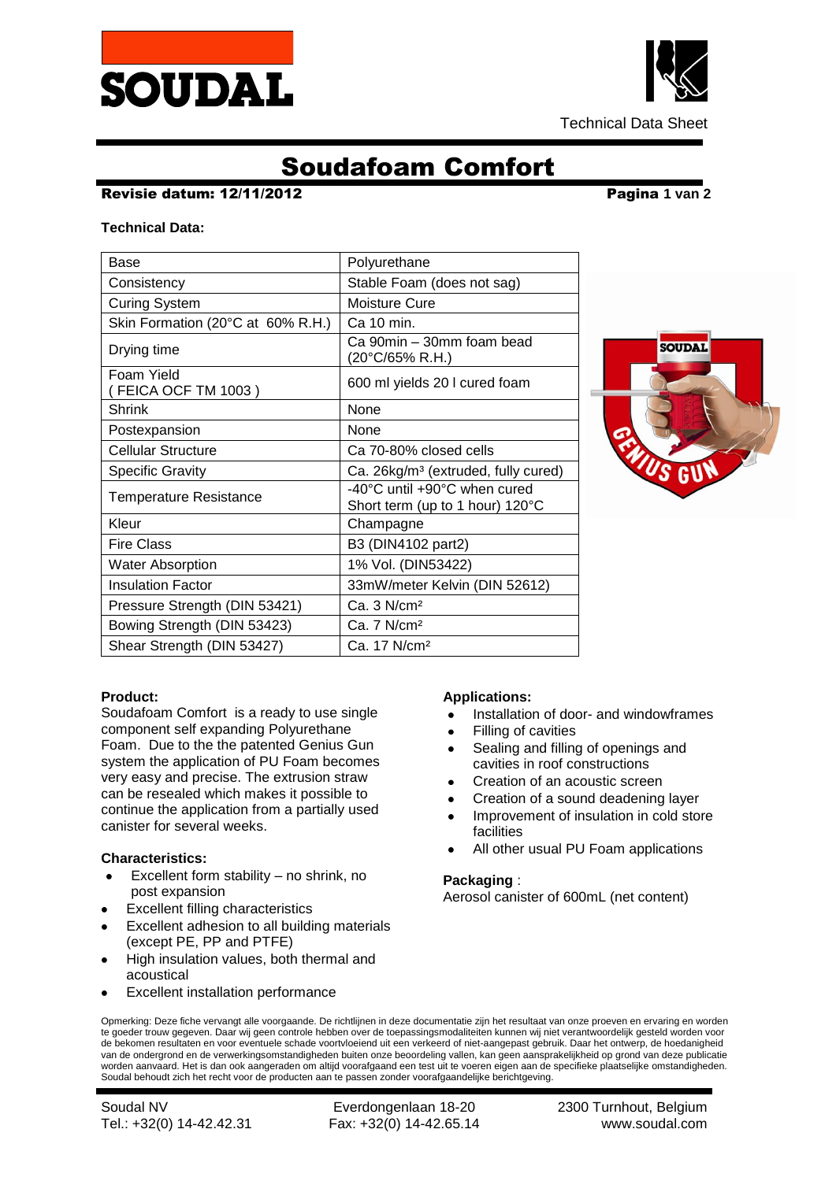



Technical Data Sheet

# Soudafoam Comfort

### Revisie datum: 12/11/2012 Pagina **1 van 2**

### **Technical Data:**

| Base                              | Polyurethane                                                    |
|-----------------------------------|-----------------------------------------------------------------|
| Consistency                       | Stable Foam (does not sag)                                      |
| <b>Curing System</b>              | Moisture Cure                                                   |
| Skin Formation (20°C at 60% R.H.) | Ca 10 min.                                                      |
| Drying time                       | Ca 90min - 30mm foam bead<br>(20°C/65% R.H.)                    |
| Foam Yield<br>FEICA OCF TM 1003)  | 600 ml yields 20 I cured foam                                   |
| Shrink                            | None                                                            |
| Postexpansion                     | None                                                            |
| Cellular Structure                | Ca 70-80% closed cells                                          |
| <b>Specific Gravity</b>           | Ca. 26kg/m <sup>3</sup> (extruded, fully cured)                 |
| <b>Temperature Resistance</b>     | -40°C until +90°C when cured<br>Short term (up to 1 hour) 120°C |
| Kleur                             | Champagne                                                       |
| <b>Fire Class</b>                 | B3 (DIN4102 part2)                                              |
| <b>Water Absorption</b>           | 1% Vol. (DIN53422)                                              |
| <b>Insulation Factor</b>          | 33mW/meter Kelvin (DIN 52612)                                   |
| Pressure Strength (DIN 53421)     | Ca.3 N/cm <sup>2</sup>                                          |
| Bowing Strength (DIN 53423)       | Ca. 7 N/cm <sup>2</sup>                                         |
| Shear Strength (DIN 53427)        | Ca. 17 N/cm <sup>2</sup>                                        |



### **Product:**

Soudafoam Comfort is a ready to use single component self expanding Polyurethane Foam. Due to the the patented Genius Gun system the application of PU Foam becomes very easy and precise. The extrusion straw can be resealed which makes it possible to continue the application from a partially used canister for several weeks.

### **Characteristics:**

- Excellent form stability no shrink, no  $\bullet$ post expansion
- Excellent filling characteristics
- Excellent adhesion to all building materials (except PE, PP and PTFE)
- High insulation values, both thermal and acoustical
- Excellent installation performance

## **Applications:**

- Installation of door- and windowframes
- Filling of cavities
- Sealing and filling of openings and cavities in roof constructions
- Creation of an acoustic screen
- Creation of a sound deadening layer
- Improvement of insulation in cold store facilities
- All other usual PU Foam applications

### **Packaging** :

Aerosol canister of 600mL (net content)

Opmerking: Deze fiche vervangt alle voorgaande. De richtlijnen in deze documentatie zijn het resultaat van onze proeven en ervaring en worden te goeder trouw gegeven. Daar wij geen controle hebben over de toepassingsmodaliteiten kunnen wij niet verantwoordelijk gesteld worden voor de bekomen resultaten en voor eventuele schade voortvloeiend uit een verkeerd of niet-aangepast gebruik. Daar het ontwerp, de hoedanigheid van de ondergrond en de verwerkingsomstandigheden buiten onze beoordeling vallen, kan geen aansprakelijkheid op grond van deze publicatie worden aanvaard. Het is dan ook aangeraden om altijd voorafgaand een test uit te voeren eigen aan de specifieke plaatselijke omstandigheden. Soudal behoudt zich het recht voor de producten aan te passen zonder voorafgaandelijke berichtgeving.